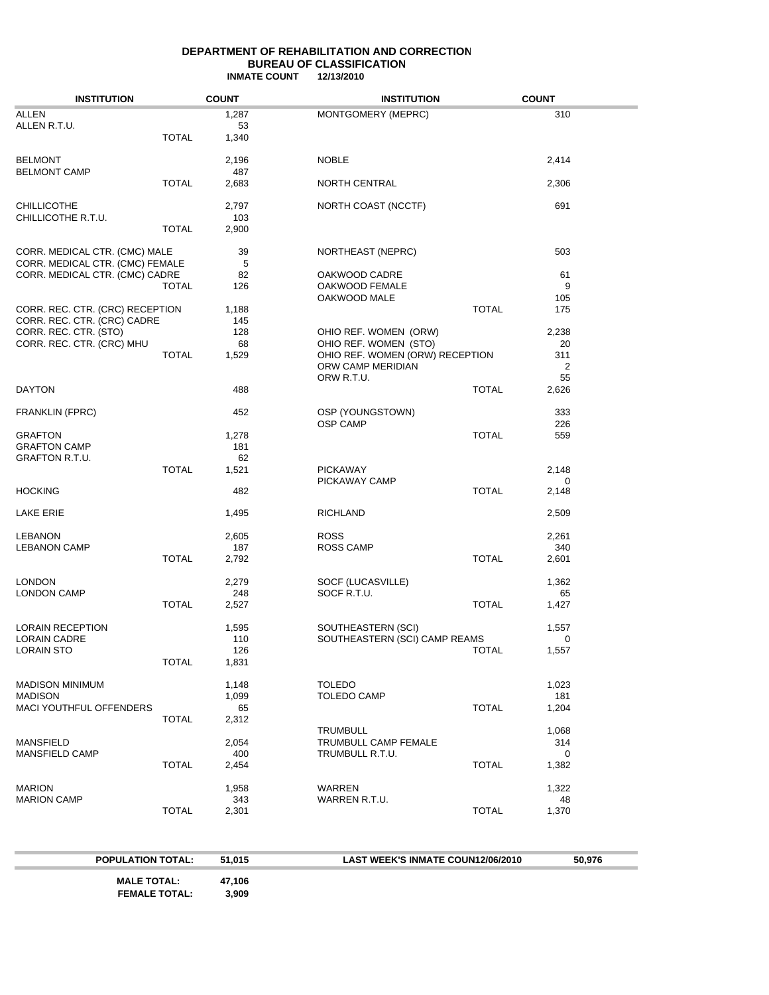### **DEPARTMENT OF REHABILITATION AND CORRECTION BUREAU OF CLASSIFICATION INMATE COUNT 12/13/2010**

| <b>INSTITUTION</b>                                             |              | <b>COUNT</b> | <b>INSTITUTION</b>                      |              | <b>COUNT</b> |  |
|----------------------------------------------------------------|--------------|--------------|-----------------------------------------|--------------|--------------|--|
| ALLEN                                                          |              | 1,287        | MONTGOMERY (MEPRC)                      |              | 310          |  |
| ALLEN R.T.U.                                                   |              | 53           |                                         |              |              |  |
|                                                                | TOTAL        | 1,340        |                                         |              |              |  |
| <b>BELMONT</b>                                                 |              | 2,196        | <b>NOBLE</b>                            |              | 2,414        |  |
| <b>BELMONT CAMP</b>                                            |              | 487          |                                         |              |              |  |
|                                                                | <b>TOTAL</b> | 2,683        | <b>NORTH CENTRAL</b>                    |              | 2,306        |  |
| <b>CHILLICOTHE</b>                                             |              | 2,797        | NORTH COAST (NCCTF)                     |              | 691          |  |
| CHILLICOTHE R.T.U.                                             |              | 103          |                                         |              |              |  |
|                                                                | TOTAL        | 2,900        |                                         |              |              |  |
| CORR. MEDICAL CTR. (CMC) MALE                                  |              | 39           | NORTHEAST (NEPRC)                       |              | 503          |  |
| CORR. MEDICAL CTR. (CMC) FEMALE                                |              | 5            |                                         |              |              |  |
| CORR. MEDICAL CTR. (CMC) CADRE                                 |              | 82           | OAKWOOD CADRE                           |              | 61           |  |
|                                                                | TOTAL        | 126          | OAKWOOD FEMALE                          |              | 9            |  |
|                                                                |              |              | OAKWOOD MALE                            |              | 105          |  |
| CORR. REC. CTR. (CRC) RECEPTION<br>CORR. REC. CTR. (CRC) CADRE |              | 1,188<br>145 |                                         | <b>TOTAL</b> | 175          |  |
| CORR. REC. CTR. (STO)                                          |              | 128          | OHIO REF. WOMEN (ORW)                   |              | 2,238        |  |
| CORR. REC. CTR. (CRC) MHU                                      |              | 68           | OHIO REF. WOMEN (STO)                   |              | 20           |  |
|                                                                | <b>TOTAL</b> | 1,529        | OHIO REF. WOMEN (ORW) RECEPTION         |              | 311          |  |
|                                                                |              |              | ORW CAMP MERIDIAN                       |              | 2            |  |
|                                                                |              |              | ORW R.T.U.                              |              | 55           |  |
| <b>DAYTON</b>                                                  |              | 488          |                                         | <b>TOTAL</b> | 2,626        |  |
| <b>FRANKLIN (FPRC)</b>                                         |              | 452          | OSP (YOUNGSTOWN)                        |              | 333          |  |
|                                                                |              |              | <b>OSP CAMP</b>                         |              | 226          |  |
| <b>GRAFTON</b><br><b>GRAFTON CAMP</b>                          |              | 1,278<br>181 |                                         | <b>TOTAL</b> | 559          |  |
| <b>GRAFTON R.T.U.</b>                                          |              | 62           |                                         |              |              |  |
|                                                                | <b>TOTAL</b> | 1,521        | <b>PICKAWAY</b>                         |              | 2,148        |  |
|                                                                |              |              | PICKAWAY CAMP                           |              | 0            |  |
| <b>HOCKING</b>                                                 |              | 482          |                                         | <b>TOTAL</b> | 2,148        |  |
| <b>LAKE ERIE</b>                                               |              | 1,495        | <b>RICHLAND</b>                         |              | 2,509        |  |
|                                                                |              |              |                                         |              |              |  |
| <b>LEBANON</b><br><b>LEBANON CAMP</b>                          |              | 2,605<br>187 | <b>ROSS</b><br><b>ROSS CAMP</b>         |              | 2,261<br>340 |  |
|                                                                | <b>TOTAL</b> | 2,792        |                                         | <b>TOTAL</b> | 2,601        |  |
|                                                                |              |              |                                         |              |              |  |
| <b>LONDON</b>                                                  |              | 2,279        | SOCF (LUCASVILLE)                       |              | 1,362        |  |
| LONDON CAMP                                                    |              | 248          | SOCF R.T.U.                             |              | 65           |  |
|                                                                | TOTAL        | 2,527        |                                         | <b>TOTAL</b> | 1,427        |  |
| <b>LORAIN RECEPTION</b>                                        |              | 1,595        | SOUTHEASTERN (SCI)                      |              | 1,557        |  |
| <b>LORAIN CADRE</b>                                            |              | 110          | SOUTHEASTERN (SCI) CAMP REAMS           |              | 0            |  |
| LORAIN STO                                                     |              | 126          |                                         | TOTAL        | 1,557        |  |
|                                                                | <b>TOTAL</b> | 1,831        |                                         |              |              |  |
| <b>MADISON MINIMUM</b>                                         |              | 1,148        | <b>TOLEDO</b>                           |              | 1,023        |  |
| <b>MADISON</b>                                                 |              | 1,099        | <b>TOLEDO CAMP</b>                      |              | 181          |  |
| MACI YOUTHFUL OFFENDERS                                        |              | 65           |                                         | <b>TOTAL</b> | 1,204        |  |
|                                                                | <b>TOTAL</b> | 2,312        |                                         |              |              |  |
| <b>MANSFIELD</b>                                               |              |              | <b>TRUMBULL</b><br>TRUMBULL CAMP FEMALE |              | 1,068<br>314 |  |
| MANSFIELD CAMP                                                 |              | 2,054<br>400 | TRUMBULL R.T.U.                         |              | 0            |  |
|                                                                | <b>TOTAL</b> | 2,454        |                                         | <b>TOTAL</b> | 1,382        |  |
|                                                                |              |              |                                         |              |              |  |
| <b>MARION</b>                                                  |              | 1,958        | WARREN                                  |              | 1,322        |  |
| <b>MARION CAMP</b>                                             | <b>TOTAL</b> | 343          | WARREN R.T.U.                           | <b>TOTAL</b> | 48           |  |
|                                                                |              | 2,301        |                                         |              | 1,370        |  |

 **POPULATION TOTAL: 51,015 LAST WEEK'S INMATE COUN12/06/2010 50,976 MALE TOTAL:** 47,106<br>FEMALE TOTAL: 3,909 **FEMALE TOTAL:**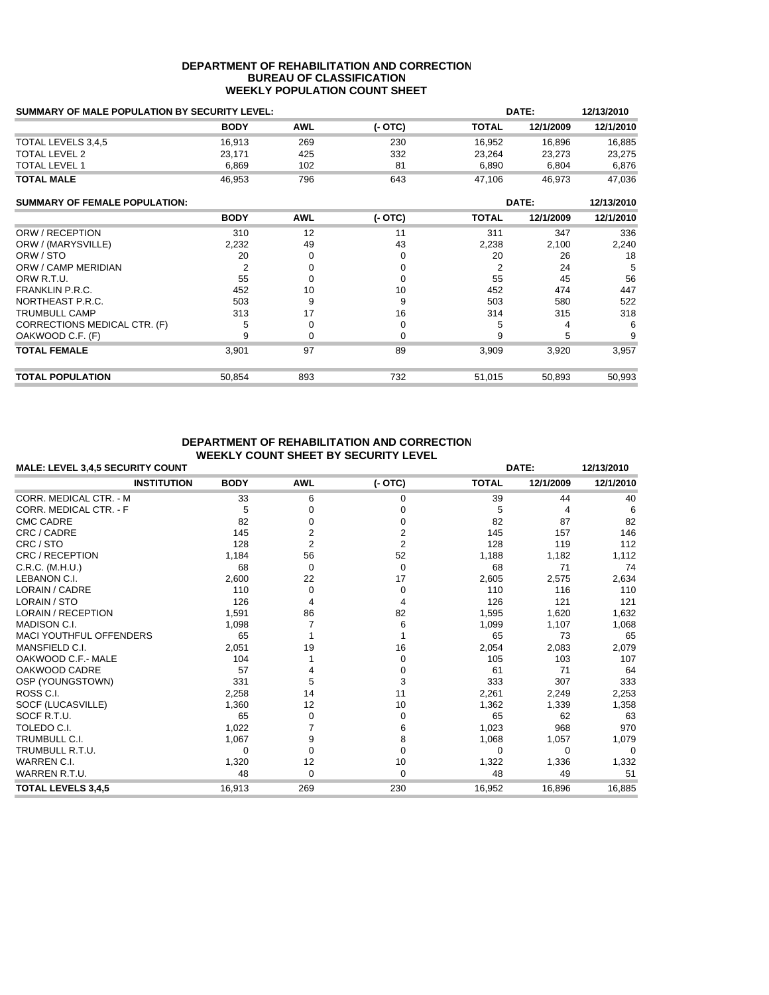### **DEPARTMENT OF REHABILITATION AND CORRECTION BUREAU OF CLASSIFICATION WEEKLY POPULATION COUNT SHEET**

| <b>SUMMARY OF MALE POPULATION BY SECURITY LEVEL:</b> |             | DATE:      |          |                |           |            |
|------------------------------------------------------|-------------|------------|----------|----------------|-----------|------------|
|                                                      | <b>BODY</b> | <b>AWL</b> | $(-OTC)$ | TOTAL          | 12/1/2009 | 12/1/2010  |
| TOTAL LEVELS 3,4,5                                   | 16,913      | 269        | 230      | 16,952         | 16,896    | 16,885     |
| <b>TOTAL LEVEL 2</b>                                 | 23,171      | 425        | 332      | 23,264         | 23,273    | 23,275     |
| <b>TOTAL LEVEL 1</b>                                 | 6,869       | 102        | 81       | 6,890          | 6,804     | 6,876      |
| <b>TOTAL MALE</b>                                    | 46,953      | 796        | 643      | 47,106         | 46,973    | 47,036     |
| <b>SUMMARY OF FEMALE POPULATION:</b>                 |             |            |          |                | DATE:     | 12/13/2010 |
|                                                      | <b>BODY</b> | <b>AWL</b> | $(-OTC)$ | <b>TOTAL</b>   | 12/1/2009 | 12/1/2010  |
| ORW / RECEPTION                                      | 310         | 12         | 11       | 311            | 347       | 336        |
| ORW / (MARYSVILLE)                                   | 2,232       | 49         | 43       | 2,238          | 2,100     | 2,240      |
| ORW / STO                                            | 20          | 0          | 0        | 20             | 26        | 18         |
| ORW / CAMP MERIDIAN                                  | 2           | 0          | $\Omega$ | $\overline{2}$ | 24        | 5          |
| ORW R.T.U.                                           | 55          | U          | 0        | 55             | 45        | 56         |
| <b>FRANKLIN P.R.C.</b>                               | 452         | 10         | 10       | 452            | 474       | 447        |
| NORTHEAST P.R.C.                                     | 503         | 9          | 9        | 503            | 580       | 522        |
| <b>TRUMBULL CAMP</b>                                 | 313         | 17         | 16       | 314            | 315       | 318        |
| CORRECTIONS MEDICAL CTR. (F)                         | 5           | 0          | 0        | 5              | 4         | 6          |
| OAKWOOD C.F. (F)                                     | 9           | 0          | $\Omega$ | 9              | 5         | 9          |
| <b>TOTAL FEMALE</b>                                  | 3,901       | 97         | 89       | 3,909          | 3,920     | 3,957      |
| <b>TOTAL POPULATION</b>                              | 50,854      | 893        | 732      | 51,015         | 50,893    | 50,993     |

# **DEPARTMENT OF REHABILITATION AND CORRECTION WEEKLY COUNT SHEET BY SECURITY LEVEL**

| <b>MALE: LEVEL 3,4,5 SECURITY COUNT</b> |             | DATE:          |                |              |           |           |
|-----------------------------------------|-------------|----------------|----------------|--------------|-----------|-----------|
| <b>INSTITUTION</b>                      | <b>BODY</b> | <b>AWL</b>     | $(-OTC)$       | <b>TOTAL</b> | 12/1/2009 | 12/1/2010 |
| CORR. MEDICAL CTR. - M                  | 33          | 6              | $\Omega$       | 39           | 44        | 40        |
| CORR. MEDICAL CTR. - F                  | 5           | 0              |                | 5            | 4         | 6         |
| <b>CMC CADRE</b>                        | 82          |                |                | 82           | 87        | 82        |
| CRC / CADRE                             | 145         | 2              |                | 145          | 157       | 146       |
| CRC / STO                               | 128         | $\overline{2}$ | $\overline{2}$ | 128          | 119       | 112       |
| CRC / RECEPTION                         | 1,184       | 56             | 52             | 1,188        | 1,182     | 1,112     |
| C.R.C. (M.H.U.)                         | 68          | $\Omega$       | $\Omega$       | 68           | 71        | 74        |
| LEBANON C.I.                            | 2,600       | 22             | 17             | 2,605        | 2,575     | 2,634     |
| LORAIN / CADRE                          | 110         | $\Omega$       | 0              | 110          | 116       | 110       |
| LORAIN / STO                            | 126         |                |                | 126          | 121       | 121       |
| <b>LORAIN / RECEPTION</b>               | 1,591       | 86             | 82             | 1,595        | 1,620     | 1,632     |
| MADISON C.I.                            | 1,098       |                | 6              | 1,099        | 1,107     | 1,068     |
| <b>MACI YOUTHFUL OFFENDERS</b>          | 65          |                |                | 65           | 73        | 65        |
| MANSFIELD C.I.                          | 2,051       | 19             | 16             | 2,054        | 2,083     | 2,079     |
| OAKWOOD C.F.- MALE                      | 104         |                | $\Omega$       | 105          | 103       | 107       |
| OAKWOOD CADRE                           | 57          |                | 0              | 61           | 71        | 64        |
| OSP (YOUNGSTOWN)                        | 331         | 5              | 3              | 333          | 307       | 333       |
| ROSS C.I.                               | 2,258       | 14             | 11             | 2,261        | 2,249     | 2,253     |
| SOCF (LUCASVILLE)                       | 1,360       | 12             | 10             | 1,362        | 1,339     | 1,358     |
| SOCF R.T.U.                             | 65          | $\Omega$       | 0              | 65           | 62        | 63        |
| TOLEDO C.I.                             | 1,022       |                | 6              | 1,023        | 968       | 970       |
| <b>TRUMBULL C.I.</b>                    | 1,067       | 9              | 8              | 1,068        | 1,057     | 1,079     |
| TRUMBULL R.T.U.                         | $\Omega$    | $\Omega$       | $\Omega$       | 0            | $\Omega$  | $\Omega$  |
| WARREN C.I.                             | 1,320       | 12             | 10             | 1,322        | 1,336     | 1,332     |
| WARREN R.T.U.                           | 48          | $\Omega$       | $\Omega$       | 48           | 49        | 51        |
| <b>TOTAL LEVELS 3,4,5</b>               | 16.913      | 269            | 230            | 16,952       | 16,896    | 16,885    |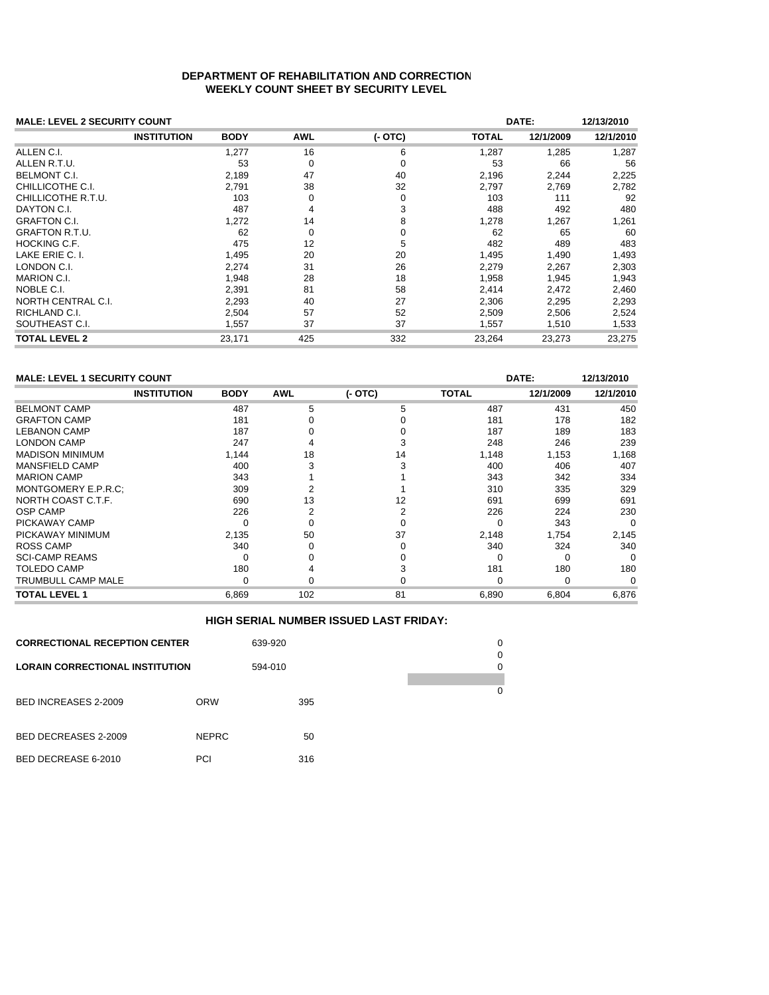# **DEPARTMENT OF REHABILITATION AND CORRECTION WEEKLY COUNT SHEET BY SECURITY LEVEL**

| <b>MALE: LEVEL 2 SECURITY COUNT</b> |                    | DATE:       |            |          |              |           |           |
|-------------------------------------|--------------------|-------------|------------|----------|--------------|-----------|-----------|
|                                     | <b>INSTITUTION</b> | <b>BODY</b> | <b>AWL</b> | $(-OTC)$ | <b>TOTAL</b> | 12/1/2009 | 12/1/2010 |
| ALLEN C.I.                          |                    | 1,277       | 16         | 6        | 1,287        | 1,285     | 1,287     |
| ALLEN R.T.U.                        |                    | 53          | 0          | 0        | 53           | 66        | 56        |
| <b>BELMONT C.I.</b>                 |                    | 2.189       | 47         | 40       | 2,196        | 2,244     | 2,225     |
| CHILLICOTHE C.I.                    |                    | 2.791       | 38         | 32       | 2,797        | 2,769     | 2,782     |
| CHILLICOTHE R.T.U.                  |                    | 103         | $\Omega$   | 0        | 103          | 111       | 92        |
| DAYTON C.I.                         |                    | 487         | 4          | 3        | 488          | 492       | 480       |
| <b>GRAFTON C.I.</b>                 |                    | 1.272       | 14         | 8        | 1,278        | 1,267     | 1,261     |
| <b>GRAFTON R.T.U.</b>               |                    | 62          | 0          | 0        | 62           | 65        | 60        |
| <b>HOCKING C.F.</b>                 |                    | 475         | 12         | 5        | 482          | 489       | 483       |
| LAKE ERIE C. I.                     |                    | 1.495       | 20         | 20       | 1,495        | 1.490     | 1,493     |
| LONDON C.I.                         |                    | 2,274       | 31         | 26       | 2,279        | 2,267     | 2,303     |
| <b>MARION C.I.</b>                  |                    | 1,948       | 28         | 18       | 1,958        | 1,945     | 1,943     |
| NOBLE C.I.                          |                    | 2,391       | 81         | 58       | 2,414        | 2,472     | 2,460     |
| NORTH CENTRAL C.I.                  |                    | 2,293       | 40         | 27       | 2,306        | 2,295     | 2,293     |
| RICHLAND C.I.                       |                    | 2,504       | 57         | 52       | 2,509        | 2,506     | 2,524     |
| SOUTHEAST C.I.                      |                    | 1,557       | 37         | 37       | 1,557        | 1,510     | 1,533     |
| <b>TOTAL LEVEL 2</b>                |                    | 23,171      | 425        | 332      | 23,264       | 23,273    | 23.275    |

| <b>MALE: LEVEL 1 SECURITY COUNT</b><br>DATE:<br>12/13/2010 |                    |             |            |          |              |           |           |  |
|------------------------------------------------------------|--------------------|-------------|------------|----------|--------------|-----------|-----------|--|
|                                                            | <b>INSTITUTION</b> | <b>BODY</b> | <b>AWL</b> | $(-OTC)$ | <b>TOTAL</b> | 12/1/2009 | 12/1/2010 |  |
| <b>BELMONT CAMP</b>                                        |                    | 487         | 5          | 5        | 487          | 431       | 450       |  |
| <b>GRAFTON CAMP</b>                                        |                    | 181         |            |          | 181          | 178       | 182       |  |
| <b>LEBANON CAMP</b>                                        |                    | 187         |            |          | 187          | 189       | 183       |  |
| <b>LONDON CAMP</b>                                         |                    | 247         |            |          | 248          | 246       | 239       |  |
| <b>MADISON MINIMUM</b>                                     |                    | 1,144       | 18         | 14       | 1,148        | 1,153     | 1,168     |  |
| <b>MANSFIELD CAMP</b>                                      |                    | 400         |            |          | 400          | 406       | 407       |  |
| <b>MARION CAMP</b>                                         |                    | 343         |            |          | 343          | 342       | 334       |  |
| MONTGOMERY E.P.R.C:                                        |                    | 309         |            |          | 310          | 335       | 329       |  |
| NORTH COAST C.T.F.                                         |                    | 690         | 13         | 12       | 691          | 699       | 691       |  |
| <b>OSP CAMP</b>                                            |                    | 226         |            |          | 226          | 224       | 230       |  |
| PICKAWAY CAMP                                              |                    |             |            |          |              | 343       | $\Omega$  |  |
| PICKAWAY MINIMUM                                           |                    | 2,135       | 50         | 37       | 2,148        | 1,754     | 2,145     |  |
| <b>ROSS CAMP</b>                                           |                    | 340         |            |          | 340          | 324       | 340       |  |
| <b>SCI-CAMP REAMS</b>                                      |                    |             |            |          |              | 0         | $\Omega$  |  |
| TOLEDO CAMP                                                |                    | 180         |            |          | 181          | 180       | 180       |  |
| TRUMBULL CAMP MALE                                         |                    |             |            |          |              | 0         |           |  |
| TOTAL LEVEL 1                                              |                    | 6.869       | 102        | 81       | 6,890        | 6,804     | 6,876     |  |

## **HIGH SERIAL NUMBER ISSUED LAST FRIDAY:**

| <b>CORRECTIONAL RECEPTION CENTER</b>   |              | 639-920 |     |   | 0<br>0 |
|----------------------------------------|--------------|---------|-----|---|--------|
| <b>LORAIN CORRECTIONAL INSTITUTION</b> | 594-010      |         |     | 0 |        |
| <b>BED INCREASES 2-2009</b>            | <b>ORW</b>   |         | 395 |   | 0      |
| BED DECREASES 2-2009                   | <b>NEPRC</b> |         | 50  |   |        |
| BED DECREASE 6-2010                    | <b>PCI</b>   |         | 316 |   |        |